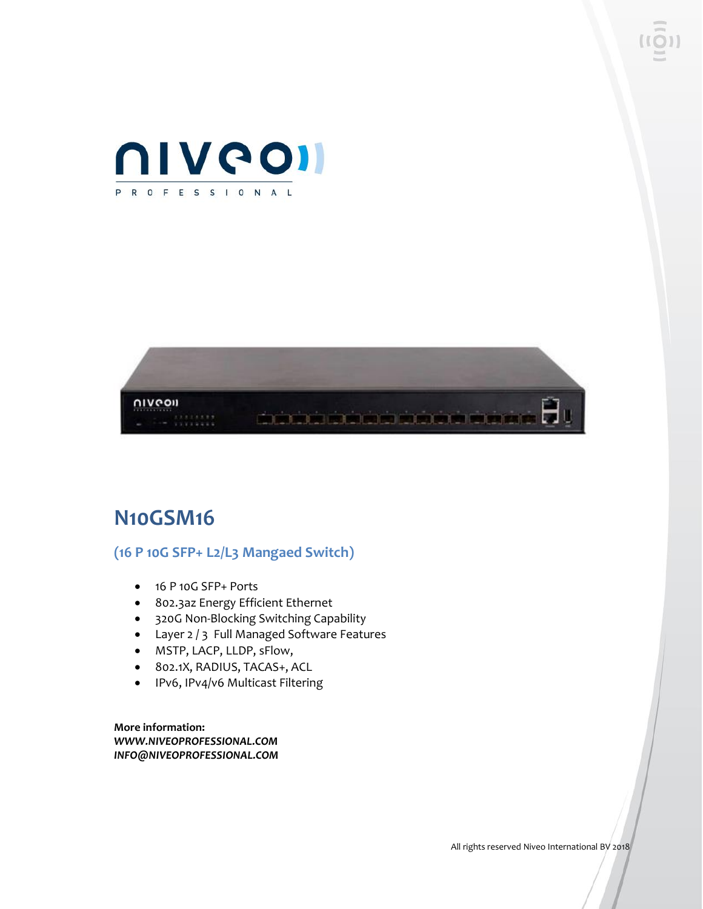



## **N10GSM16**

## **(16 P 10G SFP+ L2/L3 Mangaed Switch)**

- 16 P 10G SFP+ Ports
- 802.3az Energy Efficient Ethernet
- 320G Non-Blocking Switching Capability
- Layer 2 / 3 Full Managed Software Features
- MSTP, LACP, LLDP, sFlow,
- 802.1X, RADIUS, TACAS+, ACL
- IPv6, IPv4/v6 Multicast Filtering

**More information:** *WWW.NIVEOPROFESSIONAL.COM INFO@NIVEOPROFESSIONAL.COM*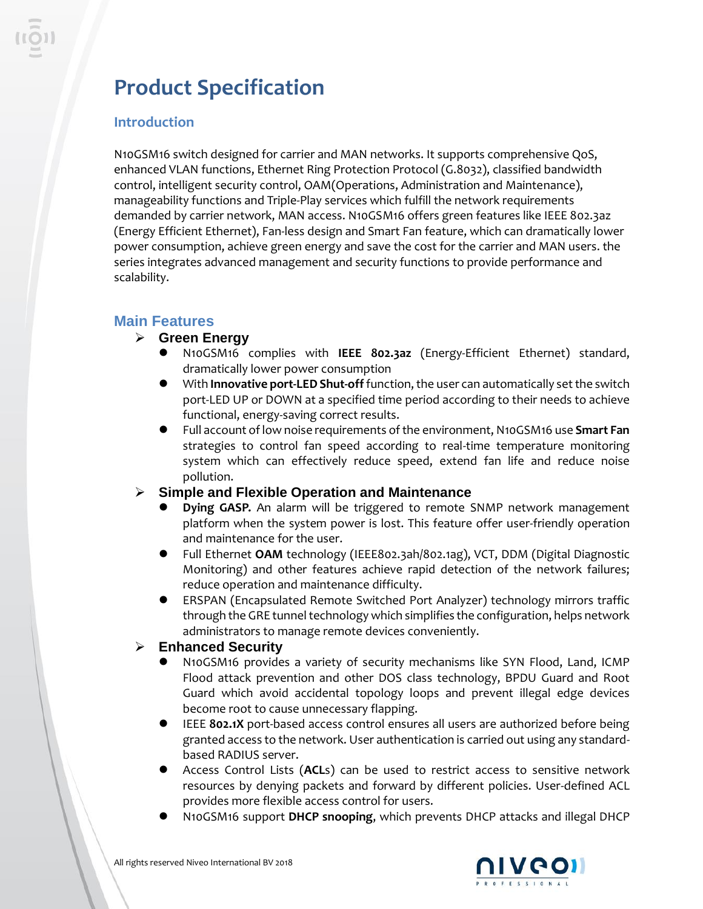# **Product Specification**

## **Introduction**

N10GSM16 switch designed for carrier and MAN networks. It supports comprehensive QoS, enhanced VLAN functions, Ethernet Ring Protection Protocol (G.8032), classified bandwidth control, intelligent security control, OAM(Operations, Administration and Maintenance), manageability functions and Triple-Play services which fulfill the network requirements demanded by carrier network, MAN access. N10GSM16 offers green features like IEEE 802.3az (Energy Efficient Ethernet), Fan-less design and Smart Fan feature, which can dramatically lower power consumption, achieve green energy and save the cost for the carrier and MAN users. the series integrates advanced management and security functions to provide performance and scalability.

## **Main Features**

#### ➢ **Green Energy**

- ⚫ N10GSM16 complies with **IEEE 802.3az** (Energy-Efficient Ethernet) standard, dramatically lower power consumption
- ⚫ With **Innovative port-LED Shut-off** function, the user can automatically set the switch port-LED UP or DOWN at a specified time period according to their needs to achieve functional, energy-saving correct results.
- ⚫ Full account of low noise requirements of the environment, N10GSM16 use **Smart Fan** strategies to control fan speed according to real-time temperature monitoring system which can effectively reduce speed, extend fan life and reduce noise pollution.

#### ➢ **Simple and Flexible Operation and Maintenance**

- ⚫ **Dying GASP.** An alarm will be triggered to remote SNMP network management platform when the system power is lost. This feature offer user-friendly operation and maintenance for the user.
- ⚫ Full Ethernet **OAM** technology (IEEE802.3ah/802.1ag), VCT, DDM (Digital Diagnostic Monitoring) and other features achieve rapid detection of the network failures; reduce operation and maintenance difficulty.
- ⚫ ERSPAN (Encapsulated Remote Switched Port Analyzer) technology mirrors traffic through the GRE tunnel technology which simplifies the configuration, helps network administrators to manage remote devices conveniently.

#### ➢ **Enhanced Security**

- ⚫ N10GSM16 provides a variety of security mechanisms like SYN Flood, Land, ICMP Flood attack prevention and other DOS class technology, BPDU Guard and Root Guard which avoid accidental topology loops and prevent illegal edge devices become root to cause unnecessary flapping.
- ⚫ IEEE **802.1X** port-based access control ensures all users are authorized before being granted access to the network. User authentication is carried out using any standardbased RADIUS server.
- ⚫ Access Control Lists (**ACL**s) can be used to restrict access to sensitive network resources by denying packets and forward by different policies. User-defined ACL provides more flexible access control for users.
- ⚫ N10GSM16 support **DHCP snooping**, which prevents DHCP attacks and illegal DHCP

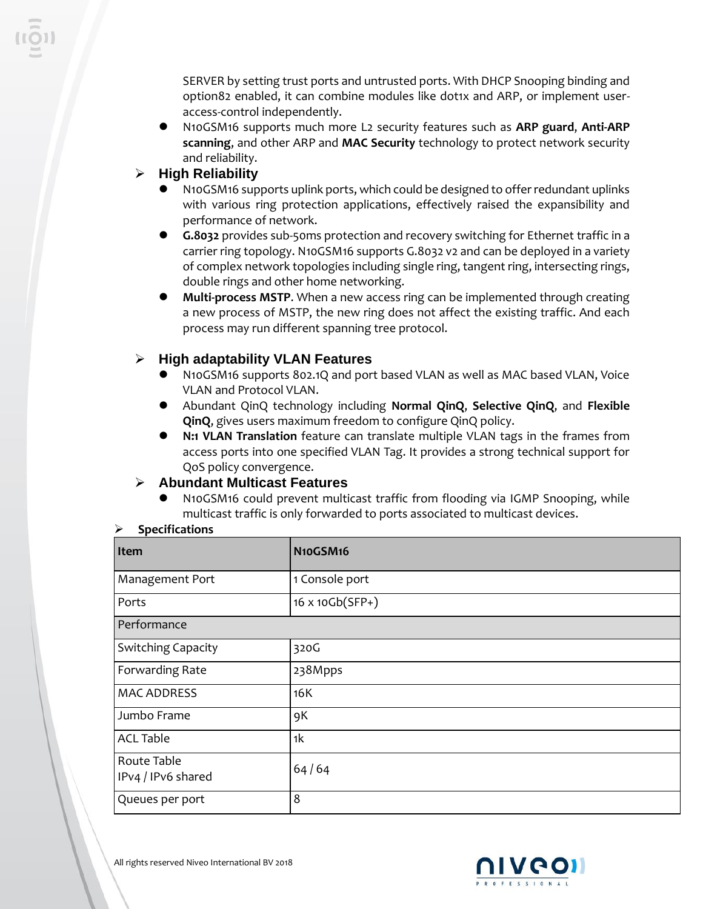SERVER by setting trust ports and untrusted ports. With DHCP Snooping binding and option82 enabled, it can combine modules like dot1x and ARP, or implement useraccess-control independently.

- ⚫ N10GSM16 supports much more L2 security features such as **ARP guard**, **Anti-ARP scanning**, and other ARP and **MAC Security** technology to protect network security and reliability.
- ➢ **High Reliability**
	- ⚫ N10GSM16 supports uplink ports, which could be designed to offer redundant uplinks with various ring protection applications, effectively raised the expansibility and performance of network.
	- ⚫ **G.8032** provides sub-50ms protection and recovery switching for [Ethernet](http://en.wikipedia.org/wiki/Ethernet) traffic in a carrier [ring topology.](http://en.wikipedia.org/wiki/Ring_topology) N10GSM16 supports G.8032 v2 and can be deployed in a variety of complex network topologies including single ring, tangent ring, intersecting rings, double rings and other home networking.
	- ⚫ **Multi-process MSTP**. When a new access ring can be implemented through creating a new process of MSTP, the new ring does not affect the existing traffic. And each process may run different spanning tree protocol.

### ➢ **High adaptability VLAN Features**

- ⚫ N10GSM16 supports 802.1Q and port based VLAN as well as MAC based VLAN, Voice VLAN and Protocol VLAN.
- ⚫ Abundant QinQ technology including **Normal QinQ**, **Selective QinQ**, and **Flexible QinQ**, gives users maximum freedom to configure QinQ policy.
- ⚫ **N:1 VLAN Translation** feature can translate multiple VLAN tags in the frames from access ports into one specified VLAN Tag. It provides a strong technical support for QoS policy convergence.

#### ➢ **Abundant Multicast Features**

⚫ N10GSM16 could prevent multicast traffic from flooding via IGMP Snooping, while multicast traffic is only forwarded to ports associated to multicast devices.

#### ➢ **Specifications**

| Item                              | N10GSM16        |  |
|-----------------------------------|-----------------|--|
| Management Port                   | 1 Console port  |  |
| Ports                             | 16 x 10Gb(SFP+) |  |
| Performance                       |                 |  |
| <b>Switching Capacity</b>         | 320G            |  |
| Forwarding Rate                   | 238Mpps         |  |
| <b>MAC ADDRESS</b>                | 16K             |  |
| Jumbo Frame                       | 9K              |  |
| <b>ACL Table</b>                  | 1 <sup>k</sup>  |  |
| Route Table<br>IPv4 / IPv6 shared | 64/64           |  |
| Queues per port                   | 8               |  |

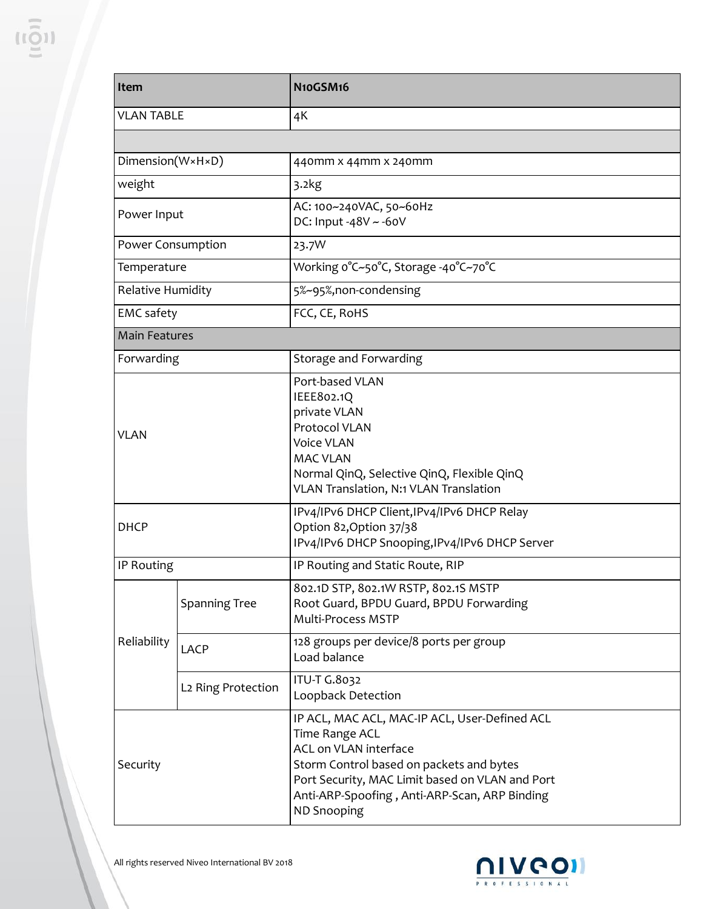| <b>Item</b>          |                                | N10GSM16                                                                                                                                                                                                                                                              |
|----------------------|--------------------------------|-----------------------------------------------------------------------------------------------------------------------------------------------------------------------------------------------------------------------------------------------------------------------|
| <b>VLAN TABLE</b>    |                                | 4K                                                                                                                                                                                                                                                                    |
|                      |                                |                                                                                                                                                                                                                                                                       |
| Dimension(W×H×D)     |                                | 440mm x 44mm x 240mm                                                                                                                                                                                                                                                  |
| weight               |                                | 3.2kg                                                                                                                                                                                                                                                                 |
| Power Input          |                                | AC: 100~240VAC, 50~60Hz<br>DC: Input -48V $\sim$ -60V                                                                                                                                                                                                                 |
| Power Consumption    |                                | 23.7W                                                                                                                                                                                                                                                                 |
| Temperature          |                                | Working o°C~50°C, Storage -40°C~70°C                                                                                                                                                                                                                                  |
| Relative Humidity    |                                | 5%~95%,non-condensing                                                                                                                                                                                                                                                 |
| <b>EMC</b> safety    |                                | FCC, CE, RoHS                                                                                                                                                                                                                                                         |
| <b>Main Features</b> |                                |                                                                                                                                                                                                                                                                       |
| Forwarding           |                                | Storage and Forwarding                                                                                                                                                                                                                                                |
| <b>VLAN</b>          |                                | Port-based VLAN<br>IEEE802.1Q<br>private VLAN<br>Protocol VLAN<br><b>Voice VLAN</b><br><b>MAC VLAN</b><br>Normal QinQ, Selective QinQ, Flexible QinQ<br>VLAN Translation, N:1 VLAN Translation                                                                        |
| <b>DHCP</b>          |                                | IPv4/IPv6 DHCP Client, IPv4/IPv6 DHCP Relay<br>Option 82, Option 37/38<br>IPv4/IPv6 DHCP Snooping, IPv4/IPv6 DHCP Server                                                                                                                                              |
| IP Routing           |                                | IP Routing and Static Route, RIP                                                                                                                                                                                                                                      |
|                      | Spanning Tree                  | 802.1D STP, 802.1W RSTP, 802.1S MSTP<br>Root Guard, BPDU Guard, BPDU Forwarding<br>Multi-Process MSTP                                                                                                                                                                 |
| Reliability          | <b>LACP</b>                    | 128 groups per device/8 ports per group<br>Load balance                                                                                                                                                                                                               |
|                      | L <sub>2</sub> Ring Protection | ITU-T G.8032<br>Loopback Detection                                                                                                                                                                                                                                    |
| Security             |                                | IP ACL, MAC ACL, MAC-IP ACL, User-Defined ACL<br><b>Time Range ACL</b><br>ACL on VLAN interface<br>Storm Control based on packets and bytes<br>Port Security, MAC Limit based on VLAN and Port<br>Anti-ARP-Spoofing, Anti-ARP-Scan, ARP Binding<br><b>ND Snooping</b> |